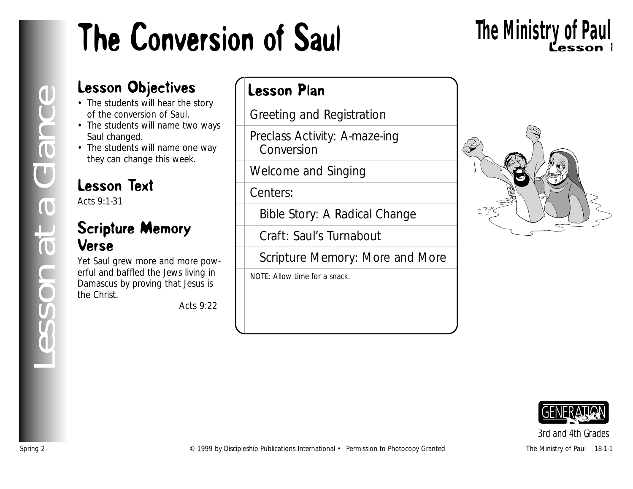## The Conversion of Saul

## **INE MINISTY OF PAUL**<br>Lesson

### Lesson Objectives

- The students will hear the story of the conversion of Saul.
- The students will name two ways Saul changed.
- The students will name one way they can change this week.

#### Lesson Text

Acts 9:1-31

#### Scripture Memory Verse

Yet Saul grew more and more powerful and baffled the Jews living in Damascus by proving that Jesus is the Christ.

*Acts 9:22*

#### Lesson Plan

Greeting and Registration

Preclass Activity: A-maze-ing **Conversion** 

Welcome and Singing

Centers:

Bible Story: A Radical Change

Craft: Saul's Turnabout

Scripture Memory: More and More

NOTE: Allow time for a snack.





### *3rd and 4th Grades*

*Lesson at a Glance*

esson at a Glance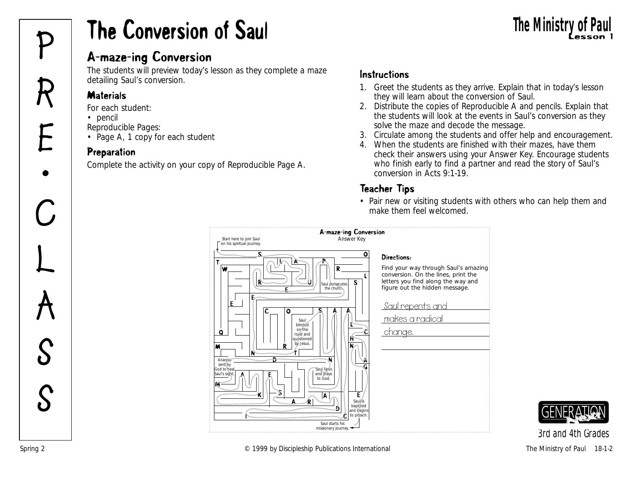# The Conversion of Saul The Ministry of Paul The Ministry of Paul A-maze-ing Conversion

#### A-maze-ing Conversion

The students will preview today's lesson as they complete a maze detailing Saul's conversion.

#### **Materials**

*For each student:*

- pencil
- *Reproducible Pages:*
- Page A, 1 copy for each student

#### Preparation

Complete the activity on your copy of Reproducible Page A.

#### **Instructions**

- 1. Greet the students as they arrive. Explain that in today's lesson they will learn about the conversion of Saul.
- 2. Distribute the copies of Reproducible A and pencils. Explain that the students will look at the events in Saul's conversion as they solve the maze and decode the message.
- 3. Circulate among the students and offer help and encouragement.
- 4. When the students are finished with their mazes, have them check their answers using your Answer Key. Encourage students who finish early to find a partner and read the story of Saul's conversion in Acts 9:1-19.

#### Teacher Tips

• Pair new or visiting students with others who can help them and make them feel welcomed.



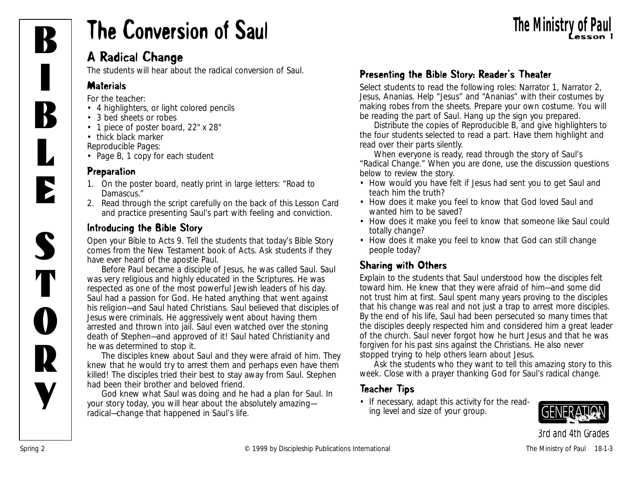

## **The Conversion of Saul International Saudion** Channel Conversion of Saul International Channel Channel Channel Channel Channel Channel Channel Channel Channel Channel Channel Channel Channel Channel Channel Channel Channe

#### A Radical Change

The students will hear about the radical conversion of Saul.

#### **Materials**

*For the teacher:*

- 4 highlighters, or light colored pencils
- 3 bed sheets or robes
- 1 piece of poster board, 22" x 28"
- thick black marker

*Reproducible Pages:*

• Page B, 1 copy for each student

#### Preparation

- 1. On the poster board, neatly print in large letters: "Road to Damascus<sup>"</sup>
- 2. Read through the script carefully on the back of this Lesson Card and practice presenting Saul's part with feeling and conviction.

#### Introducing the Bible Story

Open your Bible to Acts 9. Tell the students that today's Bible Story comes from the New Testament book of Acts. Ask students if they have ever heard of the apostle Paul.

*Before Paul became a disciple of Jesus, he was called Saul. Saul was very religious and highly educated in the Scriptures. He was respected as one of the most powerful Jewish leaders of his day. Saul had a passion for God. He hated anything that went against his religion—and Saul hated Christians. Saul believed that disciples of Jesus were criminals. He aggressively went about having them arrested and thrown into jail. Saul even watched over the stoning death of Stephen—and approved of it! Saul hated Christianity and he was determined to stop it.*

*The disciples knew about Saul and they were afraid of him. They knew that he would try to arrest them and perhaps even have them killed! The disciples tried their best to stay away from Saul. Stephen had been their brother and beloved friend.*

*God knew what Saul was doing and he had a plan for Saul. In your story today, you will hear about the absolutely amazing radical—change that happened in Saul's life.*

#### Presenting the Bible Story: Reader's Theater

Select students to read the following roles: Narrator 1, Narrator 2, Jesus, Ananias. Help "Jesus" and "Ananias" with their costumes by making robes from the sheets. Prepare your own costume. You will be reading the part of Saul. Hang up the sign you prepared.

Distribute the copies of Reproducible B, and give highlighters to the four students selected to read a part. Have them highlight and read over their parts silently.

When everyone is ready, read through the story of Saul's "Radical Change." When you are done, use the discussion questions below to review the story.

- *How would you have felt if Jesus had sent you to get Saul and teach him the truth?*
- *How does it make you feel to know that God loved Saul and wanted him to be saved?*
- *How does it make you feel to know that someone like Saul could totally change?*
- *How does it make you feel to know that God can still change people today?*

#### Sharing with Others

Explain to the students that Saul understood how the disciples felt toward him. He knew that they were afraid of him—and some did not trust him at first. Saul spent many years proving to the disciples that his change was real and not just a trap to arrest more disciples. By the end of his life, Saul had been persecuted so many times that the disciples deeply respected him and considered him a great leader of the church. Saul never forgot how he hurt Jesus and that he was forgiven for his past sins against the Christians. He also never stopped trying to help others learn about Jesus.

Ask the students who they want to tell this amazing story to this week. Close with a prayer thanking God for Saul's radical change.

#### Teacher Tips

• If necessary, adapt this activity for the reading level and size of your group.

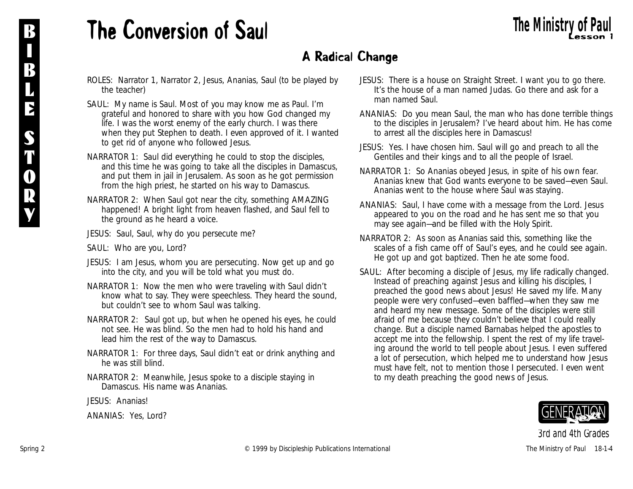### **The Conversion of Saul Conversion of Saul Conversion 1** Ine Ministry of Paul

#### A Radical Change

- ROLES: Narrator 1, Narrator 2, Jesus, Ananias, Saul (to be played by the teacher)
- SAUL: My name is Saul. Most of you may know me as Paul. I'm grateful and honored to share with you how God changed my life. I was the worst enemy of the early church. I was there when they put Stephen to death. I even approved of it. I wanted to get rid of anyone who followed Jesus.
- NARRATOR 1: Saul did everything he could to stop the disciples, and this time he was going to take all the disciples in Damascus, and put them in jail in Jerusalem. As soon as he got permission from the high priest, he started on his way to Damascus.
- NARRATOR 2: When Saul got near the city, something AMAZING happened! A bright light from heaven flashed, and Saul fell to the ground as he heard a voice.
- JESUS: Saul, Saul, why do you persecute me?
- SAUL: Who are you, Lord?
- JESUS: I am Jesus, whom you are persecuting. Now get up and go into the city, and you will be told what you must do.
- NARRATOR 1: Now the men who were traveling with Saul didn't know what to say. They were speechless. They heard the sound, but couldn't see to whom Saul was talking.
- NARRATOR 2: Saul got up, but when he opened his eyes, he could not see. He was blind. So the men had to hold his hand and lead him the rest of the way to Damascus.
- NARRATOR 1: For three days, Saul didn't eat or drink anything and he was still blind.
- NARRATOR 2: Meanwhile, Jesus spoke to a disciple staying in Damascus. His name was Ananias.
- JESUS: Ananias!
- ANANIAS: Yes, Lord?
- JESUS: There is a house on Straight Street. I want you to go there. It's the house of a man named Judas. Go there and ask for a man named Saul.
- ANANIAS: Do you mean Saul, the man who has done terrible things to the disciples in Jerusalem? I've heard about him. He has come to arrest all the disciples here in Damascus!
- JESUS: Yes. I have chosen him. Saul will go and preach to all the Gentiles and their kings and to all the people of Israel.
- NARRATOR 1: So Ananias obeyed Jesus, in spite of his own fear. Ananias knew that God wants everyone to be saved—even Saul. Ananias went to the house where Saul was staying.
- ANANIAS: Saul, I have come with a message from the Lord. Jesus appeared to you on the road and he has sent me so that you may see again—and be filled with the Holy Spirit.
- NARRATOR 2: As soon as Ananias said this, something like the scales of a fish came off of Saul's eyes, and he could see again. He got up and got baptized. Then he ate some food.
- SAUL: After becoming a disciple of Jesus, my life radically changed. Instead of preaching against Jesus and killing his disciples, I preached the good news about Jesus! He saved my life. Many people were very confused—even baffled—when they saw me and heard my new message. Some of the disciples were still afraid of me because they couldn't believe that I could really change. But a disciple named Barnabas helped the apostles to accept me into the fellowship. I spent the rest of my life traveling around the world to tell people about Jesus. I even suffered a lot of persecution, which helped me to understand how Jesus must have felt, not to mention those I persecuted. I even went to my death preaching the good news of Jesus.

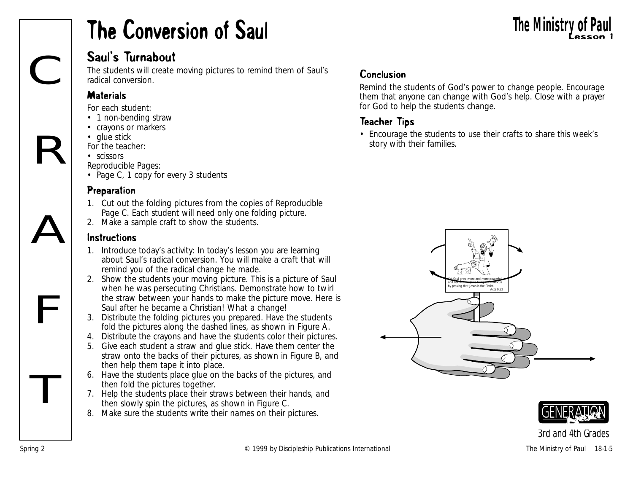### The Conversion of Saul

#### Saul's Turnabout

The students will create moving pictures to remind them of Saul's radical conversion.

#### **Materials**

 $\bigcap$ 

R

A

**F** 

T

*For each student:*

- 1 non-bending straw
- crayons or markers
- glue stick

*For the teacher:*

• scissors

*Reproducible Pages:*

• Page C, 1 copy for every 3 students

#### Preparation

- 1. Cut out the folding pictures from the copies of Reproducible Page C. Each student will need only one folding picture.
- 2. Make a sample craft to show the students.

#### Instructions

- 1. Introduce today's activity: *In today's lesson you are learning about Saul's radical conversion. You will make a craft that will remind you of the radical change he made.*
- 2. Show the students your moving picture. *This is a picture of Saul when he was persecuting Christians.* Demonstrate how to twirl the straw between your hands to make the picture move. *Here is Saul after he became a Christian! What a change!*
- 3. Distribute the folding pictures you prepared. Have the students fold the pictures along the dashed lines, as shown in Figure A.
- 4. Distribute the crayons and have the students color their pictures.
- 5. Give each student a straw and glue stick. Have them center the straw onto the backs of their pictures, as shown in Figure B, and then help them tape it into place.
- 6. Have the students place glue on the backs of the pictures, and then fold the pictures together.
- 7. Help the students place their straws between their hands, and then slowly spin the pictures, as shown in Figure C.
- 8. Make sure the students write their names on their pictures.

#### Conclusion

Remind the students of God's power to change people. Encourage them that anyone can change with God's help. Close with a prayer for God to help the students change.

**The Ministry of** 

#### Teacher Tips

• Encourage the students to use their crafts to share this week's story with their families.





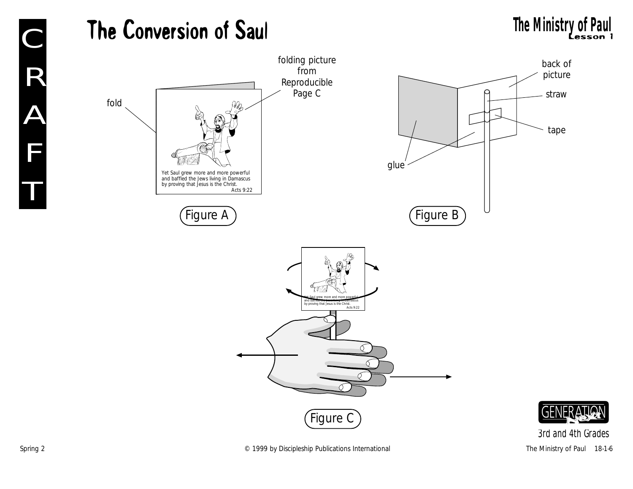## **The Conversion of Saul The Ministry of Paul The Ministry of Paul**





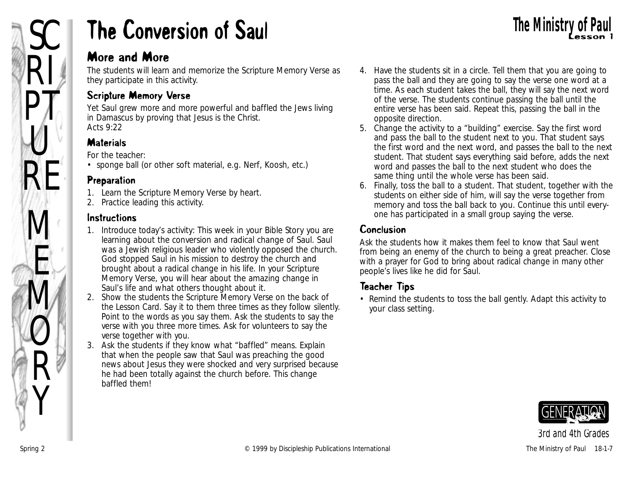### SC The Conversion of Saul The Ministry of Paul The Ministry of Paul

#### More and More

The students will learn and memorize the Scripture Memory Verse as they participate in this activity.

#### Scripture Memory Verse

Yet Saul grew more and more powerful and baffled the Jews living in Damascus by proving that Jesus is the Christ. *Acts 9:22*

#### **Materials**

*For the teacher:*

• sponge ball (or other soft material, e.g. Nerf, Koosh, etc.)

#### Preparation

- 1. Learn the Scripture Memory Verse by heart.
- 2. Practice leading this activity.

#### **Instructions**

- 1. Introduce today's activity: *This week in your Bible Story you are learning about the conversion and radical change of Saul. Saul was a Jewish religious leader who violently opposed the church. God stopped Saul in his mission to destroy the church and brought about a radical change in his life. In your Scripture Memory Verse, you will hear about the amazing change in Saul's life and what others thought about it.*
- 2. Show the students the Scripture Memory Verse on the back of the Lesson Card. Say it to them three times as they follow silently. Point to the words as you say them. Ask the students to say the verse with you three more times. Ask for volunteers to say the verse together with you.
- 3. Ask the students if they know what "baffled" means. Explain that when the people saw that Saul was preaching the good news about Jesus they were shocked and very surprised because he had been totally against the church before. This change baffled them!
- 4. Have the students sit in a circle. Tell them that you are going to pass the ball and they are going to say the verse one word at a time. As each student takes the ball, they will say the next word of the verse. The students continue passing the ball until the entire verse has been said. Repeat this, passing the ball in the opposite direction.
- 5. Change the activity to a "building" exercise. Say the first word and pass the ball to the student next to you. That student says the first word and the next word, and passes the ball to the next student. That student says everything said before, adds the next word and passes the ball to the next student who does the same thing until the whole verse has been said.
- 6. Finally, toss the ball to a student. That student, together with the students on either side of him, will say the verse together from memory and toss the ball back to you. Continue this until everyone has participated in a small group saying the verse.

#### Conclusion

Ask the students how it makes them feel to know that Saul went from being an enemy of the church to being a great preacher. Close with a prayer for God to bring about radical change in many other people's lives like he did for Saul.

#### Teacher Tips

• Remind the students to toss the ball gently. Adapt this activity to your class setting.

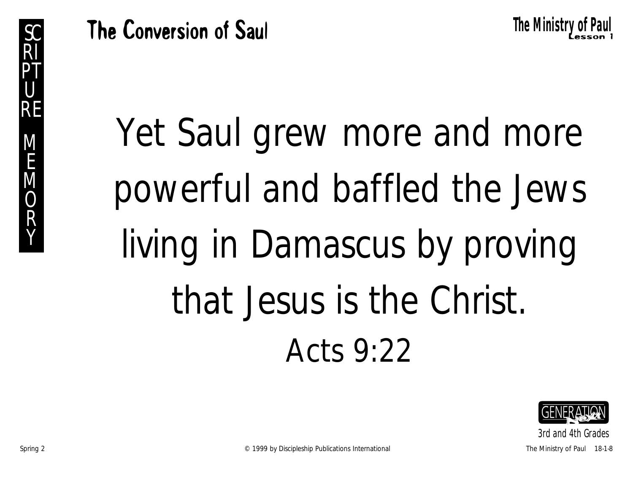

Yet Saul grew more and more powerful and baffled the Jews living in Damascus by proving that Jesus is the Christ. Acts 9:22

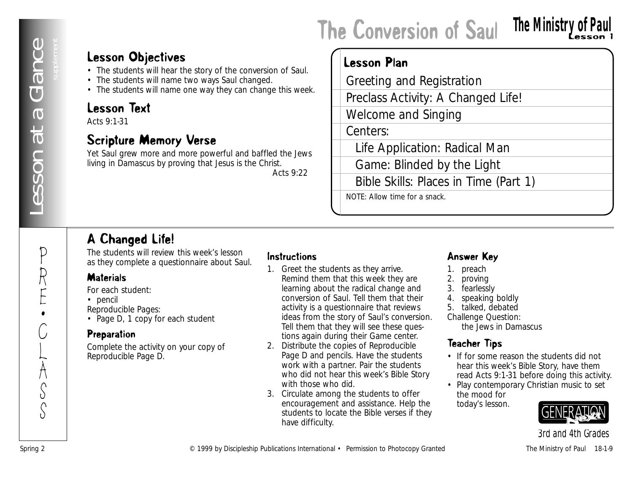#### The Conversion of Saul **The Ministry of Paul**

#### Lesson Objectives

- The students will hear the story of the conversion of Saul.
- The students will name two ways Saul changed.
- The students will name one way they can change this week.

#### Lesson Text

Acts 9:1-31

#### Scripture Memory Verse

Yet Saul grew more and more powerful and baffled the Jews living in Damascus by proving that Jesus is the Christ. *Acts 9:22*

#### Lesson Plan

Greeting and Registration Preclass Activity: A Changed Life!

Welcome and Singing

Centers:

Life Application: Radical Man

Game: Blinded by the Light

Bible Skills: Places in Time (Part 1)

NOTE: Allow time for a snack.

#### A Changed Life!

The students will review this week's lesson as they complete a questionnaire about Saul.

#### **Materials**

*For each student:*

• pencil

*Reproducible Pages:*

• Page D, 1 copy for each student

#### Preparation

Complete the activity on your copy of Reproducible Page D.

#### Instructions

- **Lesson Objectives**<br> **Control and the properties and the publication**<br> **Lesson Pian**<br> **Lesson Time**<br> **Lesson Time**<br> **Lesson Time**<br> **Lesson Time**<br> **Lesson Time**<br> **Lesson The Ministry of Paul 18-1-9 and the Minister Publicat** 1. Greet the students as they arrive. Remind them that this week they are learning about the radical change and conversion of Saul. Tell them that their activity is a questionnaire that reviews ideas from the story of Saul's conversion. Tell them that they will see these questions again during their Game center.
	- 2. Distribute the copies of Reproducible Page D and pencils. Have the students work with a partner. Pair the students who did not hear this week's Bible Story with those who did.
	- 3. Circulate among the students to offer encouragement and assistance. Help the students to locate the Bible verses if they have difficulty.

#### Answer Key

- 1. preach
- 2. proving
- 3. fearlessly
- 4. speaking boldly
- 5. talked, debated

Challenge Question: the Jews in Damascus

#### Teacher Tips

- If for some reason the students did not hear this week's Bible Story, have them read Acts 9:1-31 before doing this activity.
- Play contemporary Christian music to set the mood for today's lesson.

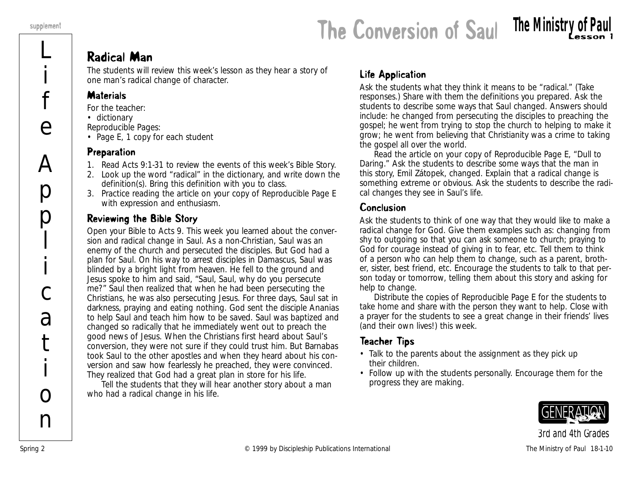L

i

f

e

 $\overline{\mathsf{A}}$ 

p

p

l

i

c

a

t

i

 $\Omega$ 

n

### supplement<br> **The Conversion of Saul The Ministry of Paul**

#### Radical Man

The students will review this week's lesson as they hear a story of one man's radical change of character.

#### **Materials**

*For the teacher:*

- dictionary
- *Reproducible Pages:*
- Page E, 1 copy for each student

#### Preparation

- 1. Read Acts 9:1-31 to review the events of this week's Bible Story.
- 2. Look up the word "radical" in the dictionary, and write down the definition(s). Bring this definition with you to class.
- 3. Practice reading the article on your copy of Reproducible Page E with expression and enthusiasm.

#### Reviewing the Bible Story

Open your Bible to Acts 9. *This week you learned about the conversion and radical change in Saul. As a non-Christian, Saul was an enemy of the church and persecuted the disciples. But God had a plan for Saul. On his way to arrest disciples in Damascus, Saul was blinded by a bright light from heaven. He fell to the ground and Jesus spoke to him and said, "Saul, Saul, why do you persecute me?" Saul then realized that when he had been persecuting the Christians, he was also persecuting Jesus. For three days, Saul sat in darkness, praying and eating nothing. God sent the disciple Ananias to help Saul and teach him how to be saved. Saul was baptized and changed so radically that he immediately went out to preach the good news of Jesus. When the Christians first heard about Saul's conversion, they were not sure if they could trust him. But Barnabas took Saul to the other apostles and when they heard about his conversion and saw how fearlessly he preached, they were convinced. They realized that God had a great plan in store for his life.*

Tell the students that they will hear another story about a man who had a radical change in his life.

#### Life Application

Ask the students what they think it means to be "radical." (Take responses.) Share with them the definitions you prepared. Ask the students to describe some ways that Saul changed. Answers should include: he changed from persecuting the disciples to preaching the gospel; he went from trying to stop the church to helping to make it grow; he went from believing that Christianity was a crime to taking the gospel all over the world.

Read the article on your copy of Reproducible Page E, "Dull to Daring." Ask the students to describe some ways that the man in this story, Emil Zátopek, changed. Explain that a radical change is something extreme or obvious. Ask the students to describe the radical changes they see in Saul's life.

#### Conclusion

Ask the students to think of one way that they would like to make a radical change for God. Give them examples such as: changing from shy to outgoing so that you can ask someone to church; praying to God for courage instead of giving in to fear, etc. Tell them to think of a person who can help them to change, such as a parent, brother, sister, best friend, etc. Encourage the students to talk to that person today or tomorrow, telling them about this story and asking for help to change.

Distribute the copies of Reproducible Page E for the students to take home and share with the person they want to help. Close with a prayer for the students to see a great change in their friends' lives (and their own lives!) this week.

#### Teacher Tips

- Talk to the parents about the assignment as they pick up their children.
- Follow up with the students personally. Encourage them for the progress they are making.

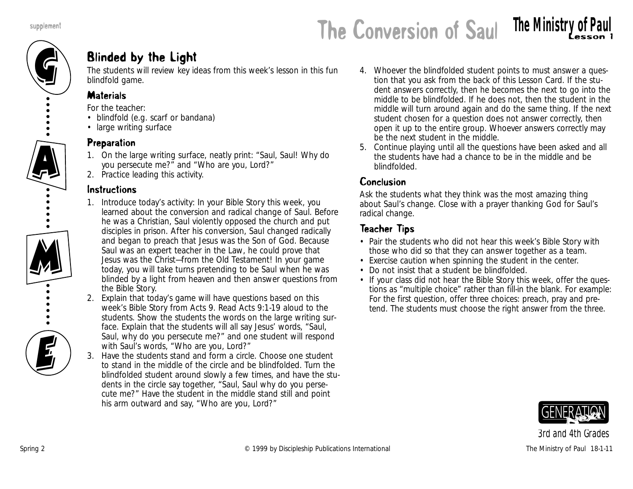

#### Blinded by the Light

The students will review key ideas from this week's lesson in this fun blindfold game.

#### **Materials**

*For the teacher:*

- blindfold (e.g. scarf or bandana)
- large writing surface

#### Preparation

- 1. On the large writing surface, neatly print: "Saul, Saul! Why do you persecute me?" and "Who are you, Lord?"
- 2. Practice leading this activity.

#### Instructions

- 1. Introduce today's activity: *In your Bible Story this week, you learned about the conversion and radical change of Saul. Before he was a Christian, Saul violently opposed the church and put disciples in prison. After his conversion, Saul changed radically and began to preach that Jesus was the Son of God. Because Saul was an expert teacher in the Law, he could prove that Jesus was the Christ—from the Old Testament! In your game today, you will take turns pretending to be Saul when he was blinded by a light from heaven and then answer questions from the Bible Story.*
- 2. Explain that today's game will have questions based on this week's Bible Story from Acts 9. Read Acts 9:1-19 aloud to the students. Show the students the words on the large writing surface. Explain that the students will all say Jesus' words, "Saul, Saul, why do you persecute me?" and one student will respond with Saul's words, "Who are you, Lord?"
- 3. Have the students stand and form a circle. Choose one student to stand in the middle of the circle and be blindfolded. Turn the blindfolded student around slowly a few times, and have the students in the circle say together, "Saul, Saul why do you persecute me?" Have the student in the middle stand still and point his arm outward and say, "Who are you, Lord?"
- 4. Whoever the blindfolded student points to must answer a question that you ask from the back of this Lesson Card. If the student answers correctly, then he becomes the next to go into the middle to be blindfolded. If he does not, then the student in the middle will turn around again and do the same thing. If the next student chosen for a question does not answer correctly, then open it up to the entire group. Whoever answers correctly may be the next student in the middle.
- 5. Continue playing until all the questions have been asked and all the students have had a chance to be in the middle and be blindfolded.

#### Conclusion

Ask the students what they think was the most amazing thing about Saul's change. Close with a prayer thanking God for Saul's radical change.

#### Teacher Tips

- Pair the students who did not hear this week's Bible Story with those who did so that they can answer together as a team.
- Exercise caution when spinning the student in the center.
- Do not insist that a student be blindfolded.
- If your class did not hear the Bible Story this week, offer the questions as "multiple choice" rather than fill-in the blank. For example: For the first question, offer three choices: preach, pray and pretend. The students must choose the right answer from the three.

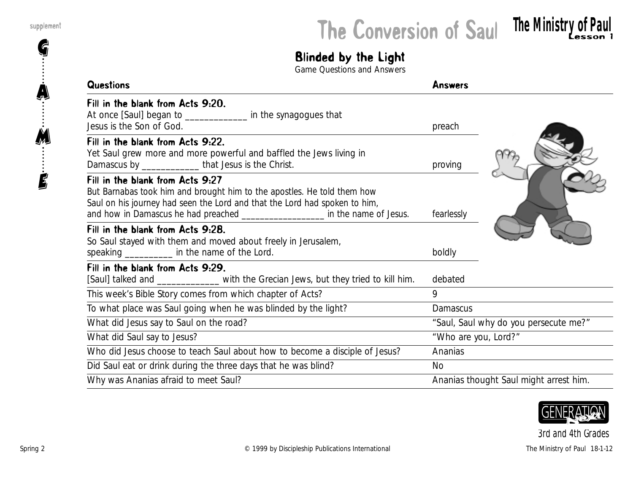G

A

M

E



#### Blinded by the Light

Game Questions and Answers

| Questions                                                                         |                                                                                                                                                                                                                                          | <b>Answers</b>                         |                                       |
|-----------------------------------------------------------------------------------|------------------------------------------------------------------------------------------------------------------------------------------------------------------------------------------------------------------------------------------|----------------------------------------|---------------------------------------|
| Fill in the blank from Acts 9:20.<br>Jesus is the Son of God.                     | At once [Saul] began to _______________ in the synagogues that                                                                                                                                                                           | preach                                 |                                       |
| Fill in the blank from Acts 9:22.                                                 | Yet Saul grew more and more powerful and baffled the Jews living in<br>Damascus by ________________that Jesus is the Christ.                                                                                                             | proving                                |                                       |
| Fill in the blank from Acts 9:27                                                  | But Barnabas took him and brought him to the apostles. He told them how<br>Saul on his journey had seen the Lord and that the Lord had spoken to him,<br>and how in Damascus he had preached _____________________ in the name of Jesus. | fearlessly                             |                                       |
| Fill in the blank from Acts 9:28.<br>speaking __________ in the name of the Lord. | So Saul stayed with them and moved about freely in Jerusalem,                                                                                                                                                                            | boldly                                 |                                       |
| Fill in the blank from Acts 9:29.                                                 |                                                                                                                                                                                                                                          |                                        |                                       |
|                                                                                   | [Saul] talked and _____________ with the Grecian Jews, but they tried to kill him.                                                                                                                                                       | debated                                |                                       |
|                                                                                   | This week's Bible Story comes from which chapter of Acts?                                                                                                                                                                                | 9                                      |                                       |
|                                                                                   | To what place was Saul going when he was blinded by the light?                                                                                                                                                                           | Damascus                               |                                       |
| What did Jesus say to Saul on the road?                                           |                                                                                                                                                                                                                                          |                                        | "Saul, Saul why do you persecute me?" |
| What did Saul say to Jesus?                                                       |                                                                                                                                                                                                                                          | "Who are you, Lord?"                   |                                       |
|                                                                                   | Who did Jesus choose to teach Saul about how to become a disciple of Jesus?                                                                                                                                                              | Ananias                                |                                       |
|                                                                                   | Did Saul eat or drink during the three days that he was blind?                                                                                                                                                                           | <b>No</b>                              |                                       |
| Why was Ananias afraid to meet Saul?                                              |                                                                                                                                                                                                                                          | Ananias thought Saul might arrest him. |                                       |

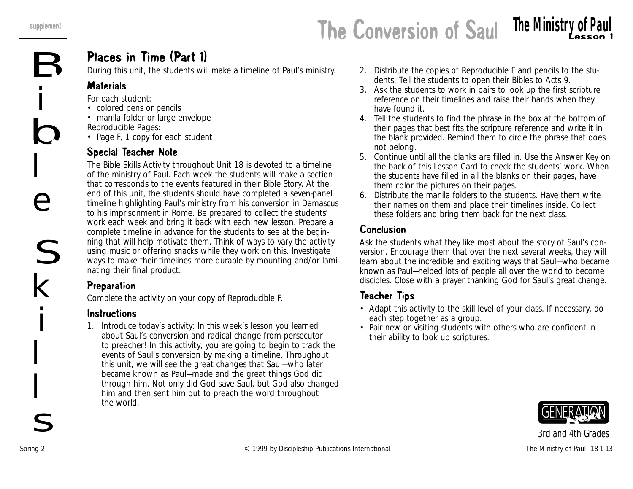supplement<br>
B

i

 $\frac{1}{\mathsf{B}}$ 

 $\overline{L}$ 

e

S

k

i

 $\overline{L}$ 

 $\overline{L}$ 

 $\boldsymbol{\mathcal{L}}$ 

### supplement **The Conversion of Saul The Ministry of Paul**

#### Places in Time (Part 1)

During this unit, the students will make a timeline of Paul's ministry.

#### **Materials**

*For each student:*

- colored pens or pencils
- manila folder or large envelope
- *Reproducible Pages:*
- Page F, 1 copy for each student

#### Special Teacher Note

The Bible Skills Activity throughout Unit 18 is devoted to a timeline of the ministry of Paul. Each week the students will make a section that corresponds to the events featured in their Bible Story. At the end of this unit, the students should have completed a seven-panel timeline highlighting Paul's ministry from his conversion in Damascus to his imprisonment in Rome. Be prepared to collect the students' work each week and bring it back with each new lesson. Prepare a complete timeline in advance for the students to see at the beginning that will help motivate them. Think of ways to vary the activity using music or offering snacks while they work on this. Investigate ways to make their timelines more durable by mounting and/or laminating their final product.

#### Preparation

Complete the activity on your copy of Reproducible F.

#### Instructions

1. Introduce today's activity: *In this week's lesson you learned about Saul's conversion and radical change from persecutor to preacher! In this activity, you are going to begin to track the events of Saul's conversion by making a timeline. Throughout this unit, we will see the great changes that Saul—who later became known as Paul—made and the great things God did through him. Not only did God save Saul, but God also changed him and then sent him out to preach the word throughout the world.*

- 2. Distribute the copies of Reproducible F and pencils to the students. Tell the students to open their Bibles to Acts 9.
- 3. Ask the students to work in pairs to look up the first scripture reference on their timelines and raise their hands when they have found it.
- 4. Tell the students to find the phrase in the box at the bottom of their pages that best fits the scripture reference and write it in the blank provided. Remind them to circle the phrase that does not belong.
- 5. Continue until all the blanks are filled in. Use the Answer Key on the back of this Lesson Card to check the students' work. When the students have filled in all the blanks on their pages, have them color the pictures on their pages.
- 6. Distribute the manila folders to the students. Have them write their names on them and place their timelines inside. Collect these folders and bring them back for the next class.

#### Conclusion

Ask the students what they like most about the story of Saul's conversion. Encourage them that over the next several weeks, they will learn about the incredible and exciting ways that Saul—who became known as Paul—helped lots of people all over the world to become disciples. Close with a prayer thanking God for Saul's great change.

#### Teacher Tips

- Adapt this activity to the skill level of your class. If necessary, do each step together as a group.
- Pair new or visiting students with others who are confident in their ability to look up scriptures.

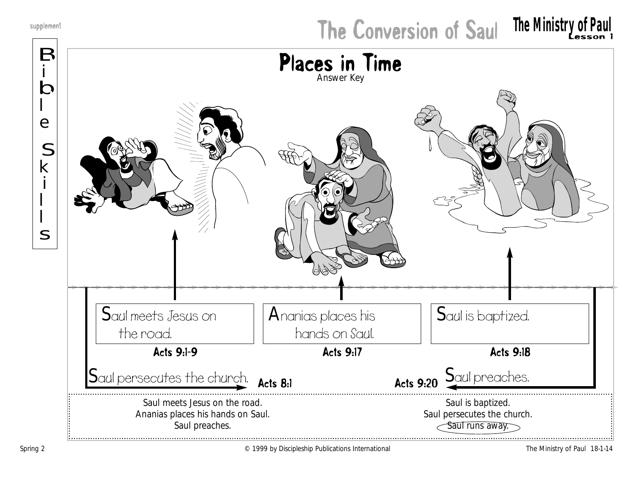

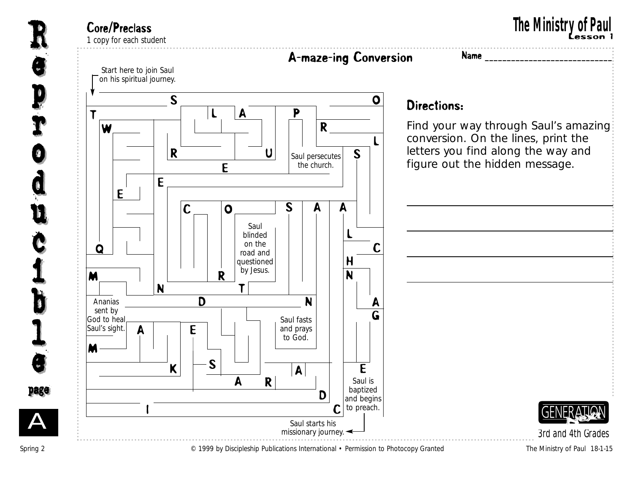**Core/Preclass**<br>1 copy for each student

e e

R

p

p

r

r

o o

d

d

u

u

c

Č

i

i

b b

l l

e

e

A

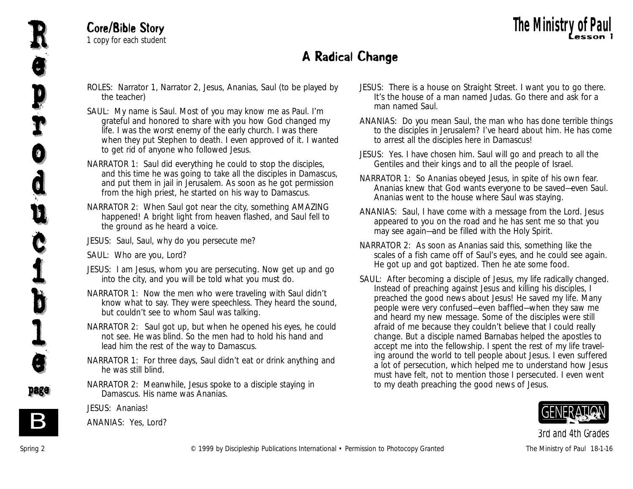**Core/Bible Story**<br>1 copy for each student



#### A Radical Change

- ROLES: Narrator 1, Narrator 2, Jesus, Ananias, Saul (to be played by the teacher)
- SAUL: My name is Saul. Most of you may know me as Paul. I'm grateful and honored to share with you how God changed my life. I was the worst enemy of the early church. I was there when they put Stephen to death. I even approved of it. I wanted to get rid of anyone who followed Jesus.
- NARRATOR 1: Saul did everything he could to stop the disciples, and this time he was going to take all the disciples in Damascus, and put them in jail in Jerusalem. As soon as he got permission from the high priest, he started on his way to Damascus.
- NARRATOR 2: When Saul got near the city, something AMAZING happened! A bright light from heaven flashed, and Saul fell to the ground as he heard a voice.
- JESUS: Saul, Saul, why do you persecute me?
- SAUL: Who are you, Lord?
- JESUS: I am Jesus, whom you are persecuting. Now get up and go into the city, and you will be told what you must do.
- NARRATOR 1: Now the men who were traveling with Saul didn't know what to say. They were speechless. They heard the sound, but couldn't see to whom Saul was talking.
- NARRATOR 2: Saul got up, but when he opened his eyes, he could not see. He was blind. So the men had to hold his hand and lead him the rest of the way to Damascus.
- NARRATOR 1: For three days, Saul didn't eat or drink anything and he was still blind.
- NARRATOR 2: Meanwhile, Jesus spoke to a disciple staying in Damascus. His name was Ananias.

B

JESUS: Ananias!



- JESUS: There is a house on Straight Street. I want you to go there. It's the house of a man named Judas. Go there and ask for a man named Saul.
- ANANIAS: Do you mean Saul, the man who has done terrible things to the disciples in Jerusalem? I've heard about him. He has come to arrest all the disciples here in Damascus!
- JESUS: Yes. I have chosen him. Saul will go and preach to all the Gentiles and their kings and to all the people of Israel.
- NARRATOR 1: So Ananias obeyed Jesus, in spite of his own fear. Ananias knew that God wants everyone to be saved—even Saul. Ananias went to the house where Saul was staying.
- ANANIAS: Saul, I have come with a message from the Lord. Jesus appeared to you on the road and he has sent me so that you may see again—and be filled with the Holy Spirit.
- NARRATOR 2: As soon as Ananias said this, something like the scales of a fish came off of Saul's eyes, and he could see again. He got up and got baptized. Then he ate some food.
- SAUL: After becoming a disciple of Jesus, my life radically changed. Instead of preaching against Jesus and killing his disciples, I preached the good news about Jesus! He saved my life. Many people were very confused—even baffled—when they saw me and heard my new message. Some of the disciples were still afraid of me because they couldn't believe that I could really change. But a disciple named Barnabas helped the apostles to accept me into the fellowship. I spent the rest of my life traveling around the world to tell people about Jesus. I even suffered a lot of persecution, which helped me to understand how Jesus must have felt, not to mention those I persecuted. I even went to my death preaching the good news of Jesus.

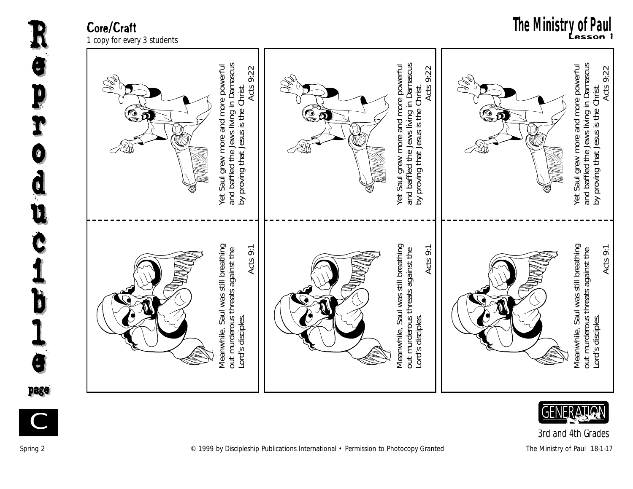**Core/Craft**<br>1 copy for every 3 students





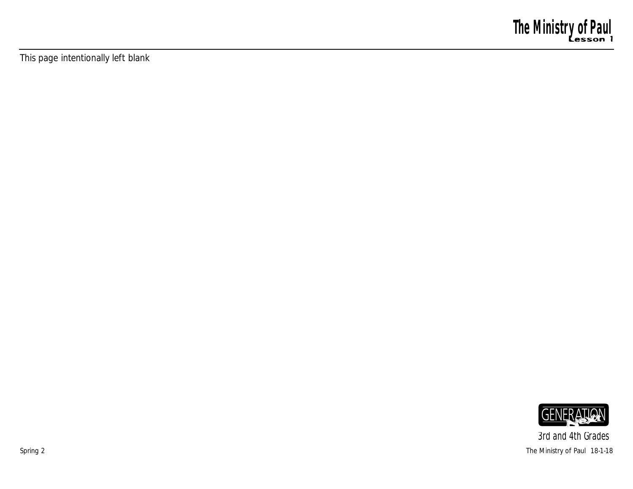

This page intentionally left blank



Spring 2 The Ministry of Paul 18-1-18 *3rd and 4th Grades*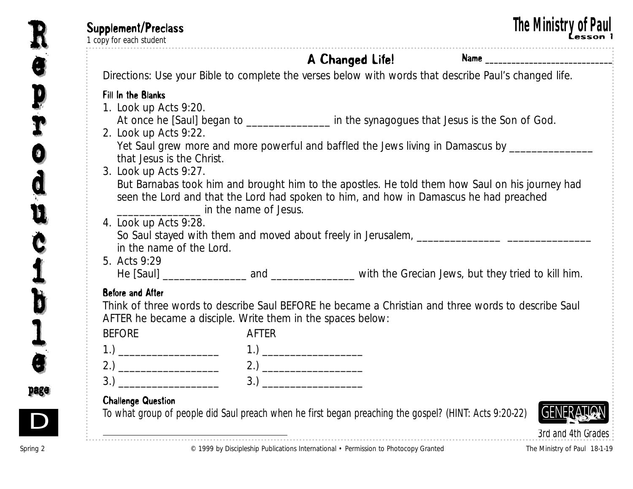|                         |                           |                                                             | A Changed Life! | Name ___________________                                                                              |
|-------------------------|---------------------------|-------------------------------------------------------------|-----------------|-------------------------------------------------------------------------------------------------------|
|                         |                           |                                                             |                 | Directions: Use your Bible to complete the verses below with words that describe Paul's changed life. |
| Fill In the Blanks      |                           |                                                             |                 |                                                                                                       |
|                         | 1. Look up Acts 9:20.     |                                                             |                 |                                                                                                       |
|                         |                           |                                                             |                 | At once he [Saul] began to _________________ in the synagogues that Jesus is the Son of God.          |
|                         | 2. Look up Acts 9:22.     |                                                             |                 | Yet Saul grew more and more powerful and baffled the Jews living in Damascus by _______               |
|                         | that Jesus is the Christ. |                                                             |                 |                                                                                                       |
|                         | 3. Look up Acts 9:27.     |                                                             |                 |                                                                                                       |
|                         |                           |                                                             |                 | But Barnabas took him and brought him to the apostles. He told them how Saul on his journey had       |
|                         |                           |                                                             |                 | seen the Lord and that the Lord had spoken to him, and how in Damascus he had preached                |
|                         | 4. Look up Acts 9:28.     | in the name of Jesus.                                       |                 |                                                                                                       |
|                         |                           |                                                             |                 | So Saul stayed with them and moved about freely in Jerusalem, ___________________                     |
|                         | in the name of the Lord.  |                                                             |                 |                                                                                                       |
| 5. Acts 9:29            |                           |                                                             |                 |                                                                                                       |
|                         |                           |                                                             |                 |                                                                                                       |
| <b>Before and After</b> |                           |                                                             |                 |                                                                                                       |
|                         |                           |                                                             |                 | Think of three words to describe Saul BEFORE he became a Christian and three words to describe Saul   |
|                         |                           | AFTER he became a disciple. Write them in the spaces below: |                 |                                                                                                       |
| <b>BEFORE</b>           |                           | AFTER                                                       |                 |                                                                                                       |
|                         |                           |                                                             |                 |                                                                                                       |
|                         |                           |                                                             |                 |                                                                                                       |
|                         |                           | 3.)                                                         |                 |                                                                                                       |

Spring 2 **Example 2** C 1999 by Discipleship Publications International • Permission to Photocopy Granted The Ministry of Paul 18-1-19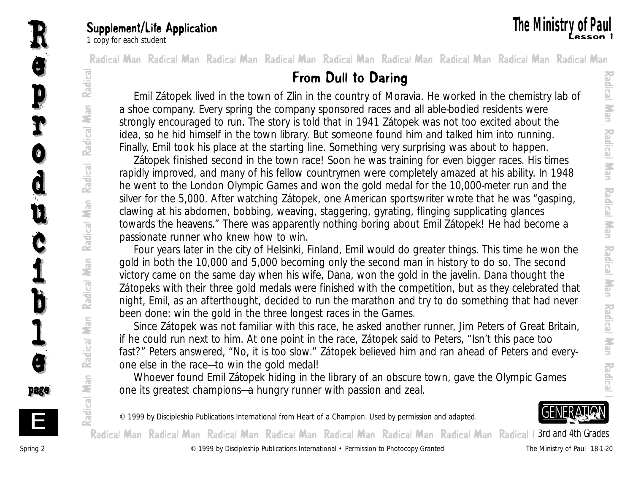Radical Man

Radical Man

Radical

 $\overline{\mathbf{h}}$ 

**The Ministry of Paul**<br>The Ministry of Paul Resson 1<br>The Ministry of Paul Resson 1 Radical Man Radical Man Radical Man Radical Man Radical Man Radical Man Radical Man Radical Man<br>From Dull to Daring<br>Fmil 7átopek lived in the town of 7lin in the country of Moravia. He worked in the chemistry lab of

#### From Dull to Daring

Emil Zátopek lived in the town of Zlin in the country of Moravia. He worked in the chemistry lab of a shoe company. Every spring the company sponsored races and all able-bodied residents were strongly encouraged to run. The story is told that in 1941 Zátopek was not too excited about the idea, so he hid himself in the town library. But someone found him and talked him into running. Finally, Emil took his place at the starting line. Something very surprising was about to happen.

Zátopek finished second in the town race! Soon he was training for even bigger races. His times rapidly improved, and many of his fellow countrymen were completely amazed at his ability. In 1948 he went to the London Olympic Games and won the gold medal for the 10,000-meter run and the silver for the 5,000. After watching Zátopek, one American sportswriter wrote that he was "gasping, clawing at his abdomen, bobbing, weaving, staggering, gyrating, flinging supplicating glances towards the heavens." There was apparently nothing boring about Emil Zátopek! He had become a passionate runner who knew how to win.

Four years later in the city of Helsinki, Finland, Emil would do greater things. This time he won the gold in both the 10,000 and 5,000 becoming only the second man in history to do so. The second victory came on the same day when his wife, Dana, won the gold in the javelin. Dana thought the Zátopeks with their three gold medals were finished with the competition, but as they celebrated that night, Emil, as an afterthought, decided to run the marathon and try to do something that had never been done: win the gold in the three longest races in the Games.

Since Zátopek was not familiar with this race, he asked another runner, Jim Peters of Great Britain, if he could run next to him. At one point in the race, Zátopek said to Peters, "Isn't this pace too fast?" Peters answered, "No, it is too slow." Zátopek believed him and ran ahead of Peters and everyone else in the race—to win the gold medal!

Whoever found Emil Zátopek hiding in the library of an obscure town, gave the Olympic Games one its greatest champions—a hungry runner with passion and zeal.

© 1999 by Discipleship Publications International from *Heart of a Champion*. Used by permission and adapted.

Radical Man Radical Man Radical Man Radical Man Radical Man Radical Man Radical Man Radical I *3rd and 4th Grades* Spring 2 © 1999 by Discipleship Publications International • Permission to Photocopy Granted The Ministry of Paul 18-1-20

e

e

R

p

p

r

r

o o

d

d

u

u

c

Radical Man Radical Man Radical Man Radical Man Radical Radical Man Radical

Radical Man

Radical Man

Radical Man

Radical Man

Radical Man

Radical

Č

i

i